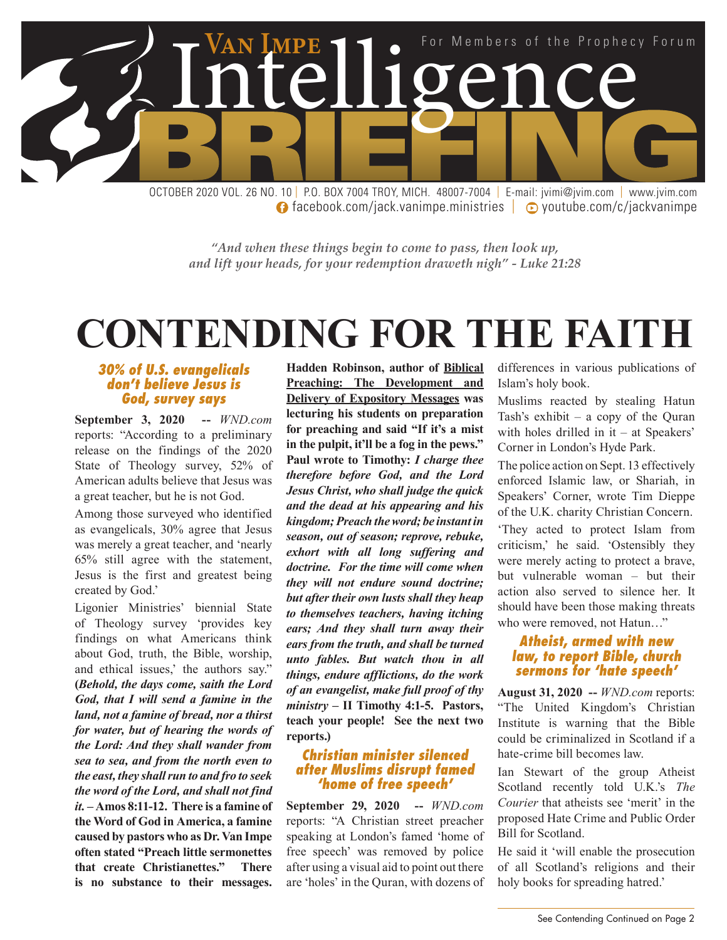

**facebook.com/jack.vanimpe.ministries | © youtube.com/c/jackvanimpe** 

*"And when these things begin to come to pass, then look up, and lift your heads, for your redemption draweth nigh" - Luke 21:28*

## **CONTENDING FOR THE FAITH**

#### *30% of U.S. evangelicals don't believe Jesus is God, survey says*

**September 3, 2020 --** *WND.com* reports: "According to a preliminary release on the findings of the 2020 State of Theology survey, 52% of American adults believe that Jesus was a great teacher, but he is not God.

Among those surveyed who identified as evangelicals, 30% agree that Jesus was merely a great teacher, and 'nearly 65% still agree with the statement, Jesus is the first and greatest being created by God.'

Ligonier Ministries' biennial State of Theology survey 'provides key findings on what Americans think about God, truth, the Bible, worship, and ethical issues,' the authors say." **(***Behold, the days come, saith the Lord God, that I will send a famine in the land, not a famine of bread, nor a thirst for water, but of hearing the words of the Lord: And they shall wander from sea to sea, and from the north even to the east, they shall run to and fro to seek the word of the Lord, and shall not find it.* **– Amos 8:11-12. There is a famine of the Word of God in America, a famine caused by pastors who as Dr. Van Impe often stated "Preach little sermonettes that create Christianettes." There is no substance to their messages.** 

**Hadden Robinson, author of Biblical Preaching: The Development and Delivery of Expository Messages was lecturing his students on preparation for preaching and said "If it's a mist in the pulpit, it'll be a fog in the pews." Paul wrote to Timothy:** *I charge thee therefore before God, and the Lord Jesus Christ, who shall judge the quick and the dead at his appearing and his kingdom; Preach the word; be instant in season, out of season; reprove, rebuke, exhort with all long suffering and doctrine. For the time will come when they will not endure sound doctrine; but after their own lusts shall they heap to themselves teachers, having itching ears; And they shall turn away their ears from the truth, and shall be turned unto fables. But watch thou in all things, endure afflictions, do the work of an evangelist, make full proof of thy ministry* **– II Timothy 4:1-5. Pastors, teach your people! See the next two reports.)**

#### *Christian minister silenced after Muslims disrupt famed 'home of free speech'*

**September 29, 2020 --** *WND.com* reports: "A Christian street preacher speaking at London's famed 'home of free speech' was removed by police after using a visual aid to point out there are 'holes' in the Quran, with dozens of differences in various publications of Islam's holy book.

Muslims reacted by stealing Hatun Tash's exhibit – a copy of the Quran with holes drilled in it – at Speakers' Corner in London's Hyde Park.

The police action on Sept. 13 effectively enforced Islamic law, or Shariah, in Speakers' Corner, wrote Tim Dieppe of the U.K. charity Christian Concern.

'They acted to protect Islam from criticism,' he said. 'Ostensibly they were merely acting to protect a brave, but vulnerable woman – but their action also served to silence her. It should have been those making threats who were removed, not Hatun…"

#### *Atheist, armed with new law, to report Bible, church sermons for 'hate speech'*

**August 31, 2020 --** *WND.com* reports: "The United Kingdom's Christian Institute is warning that the Bible could be criminalized in Scotland if a hate-crime bill becomes law.

Ian Stewart of the group Atheist Scotland recently told U.K.'s *The Courier* that atheists see 'merit' in the proposed Hate Crime and Public Order Bill for Scotland.

He said it 'will enable the prosecution of all Scotland's religions and their holy books for spreading hatred.'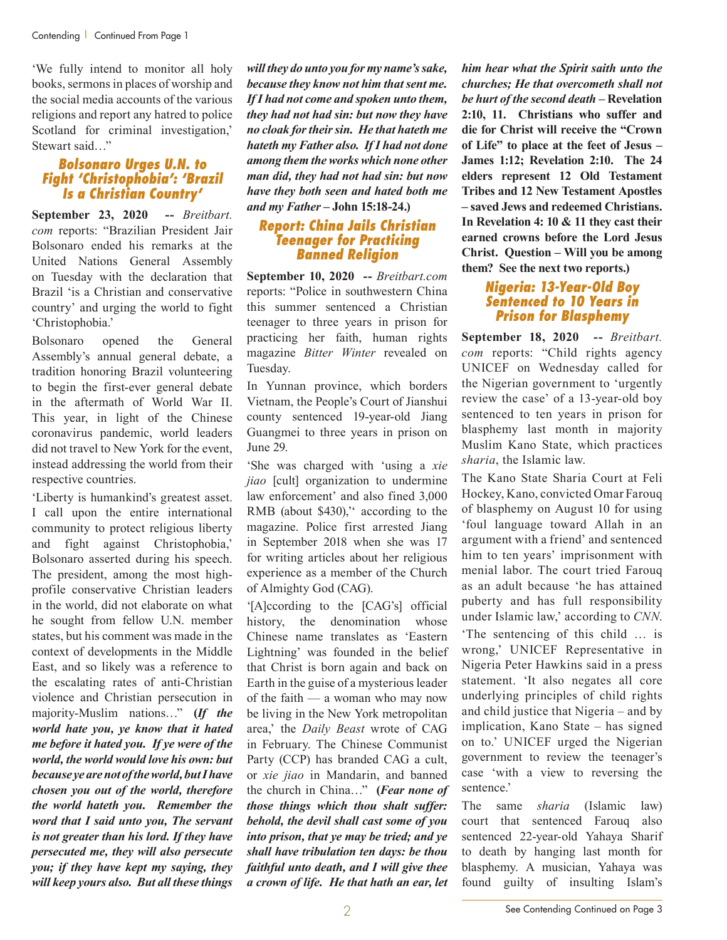'We fully intend to monitor all holy books, sermons in places of worship and the social media accounts of the various religions and report any hatred to police Scotland for criminal investigation,' Stewart said…"

#### *Bolsonaro Urges U.N. to Fight 'Christophobia': 'Brazil Is a Christian Country'*

**September 23, 2020 --** *Breitbart. com* reports: "Brazilian President Jair Bolsonaro ended his remarks at the United Nations General Assembly on Tuesday with the declaration that Brazil 'is a Christian and conservative country' and urging the world to fight 'Christophobia.'

Bolsonaro opened the General Assembly's annual general debate, a tradition honoring Brazil volunteering to begin the first-ever general debate in the aftermath of World War II. This year, in light of the Chinese coronavirus pandemic, world leaders did not travel to New York for the event, instead addressing the world from their respective countries.

'Liberty is humankind's greatest asset. I call upon the entire international community to protect religious liberty and fight against Christophobia,' Bolsonaro asserted during his speech. The president, among the most highprofile conservative Christian leaders in the world, did not elaborate on what he sought from fellow U.N. member states, but his comment was made in the context of developments in the Middle East, and so likely was a reference to the escalating rates of anti-Christian violence and Christian persecution in majority-Muslim nations…" **(***If the world hate you, ye know that it hated me before it hated you. If ye were of the world, the world would love his own: but because ye are not of the world, but I have chosen you out of the world, therefore the world hateth you. Remember the word that I said unto you, The servant is not greater than his lord. If they have persecuted me, they will also persecute you; if they have kept my saying, they will keep yours also. But all these things* 

*will they do unto you for my name's sake, because they know not him that sent me. If I had not come and spoken unto them, they had not had sin: but now they have no cloak for their sin. He that hateth me hateth my Father also. If I had not done among them the works which none other man did, they had not had sin: but now have they both seen and hated both me and my Father* **– John 15:18-24.)** 

#### *Report: China Jails Christian Teenager for Practicing Banned Religion*

**September 10, 2020 --** *Breitbart.com* reports: "Police in southwestern China this summer sentenced a Christian teenager to three years in prison for practicing her faith, human rights magazine *Bitter Winter* revealed on Tuesday.

In Yunnan province, which borders Vietnam, the People's Court of Jianshui county sentenced 19-year-old Jiang Guangmei to three years in prison on June 29.

'She was charged with 'using a *xie jiao* [cult] organization to undermine law enforcement' and also fined 3,000 RMB (about \$430)," according to the magazine. Police first arrested Jiang in September 2018 when she was 17 for writing articles about her religious experience as a member of the Church of Almighty God (CAG).

'[A]ccording to the [CAG's] official history, the denomination whose Chinese name translates as 'Eastern Lightning' was founded in the belief that Christ is born again and back on Earth in the guise of a mysterious leader of the faith — a woman who may now be living in the New York metropolitan area,' the *Daily Beast* wrote of CAG in February. The Chinese Communist Party (CCP) has branded CAG a cult, or *xie jiao* in Mandarin, and banned the church in China…" **(***Fear none of those things which thou shalt suffer: behold, the devil shall cast some of you into prison, that ye may be tried; and ye shall have tribulation ten days: be thou faithful unto death, and I will give thee a crown of life. He that hath an ear, let* 

*him hear what the Spirit saith unto the churches; He that overcometh shall not be hurt of the second death* **– Revelation 2:10, 11. Christians who suffer and die for Christ will receive the "Crown of Life" to place at the feet of Jesus – James 1:12; Revelation 2:10. The 24 elders represent 12 Old Testament Tribes and 12 New Testament Apostles – saved Jews and redeemed Christians. In Revelation 4: 10 & 11 they cast their earned crowns before the Lord Jesus Christ. Question – Will you be among them? See the next two reports.)**

#### *Nigeria: 13-Year-Old Boy Sentenced to 10 Years in Prison for Blasphemy*

**September 18, 2020 --** *Breitbart. com* reports: "Child rights agency UNICEF on Wednesday called for the Nigerian government to 'urgently review the case' of a 13-year-old boy sentenced to ten years in prison for blasphemy last month in majority Muslim Kano State, which practices *sharia*, the Islamic law.

The Kano State Sharia Court at Feli Hockey, Kano, convicted Omar Farouq of blasphemy on August 10 for using 'foul language toward Allah in an argument with a friend' and sentenced him to ten years' imprisonment with menial labor. The court tried Farouq as an adult because 'he has attained puberty and has full responsibility under Islamic law,' according to *CNN*. 'The sentencing of this child … is wrong,' UNICEF Representative in Nigeria Peter Hawkins said in a press statement. 'It also negates all core underlying principles of child rights and child justice that Nigeria – and by implication, Kano State – has signed on to.' UNICEF urged the Nigerian government to review the teenager's case 'with a view to reversing the sentence.'

The same *sharia* (Islamic law) court that sentenced Farouq also sentenced 22-year-old Yahaya Sharif to death by hanging last month for blasphemy. A musician, Yahaya was found guilty of insulting Islam's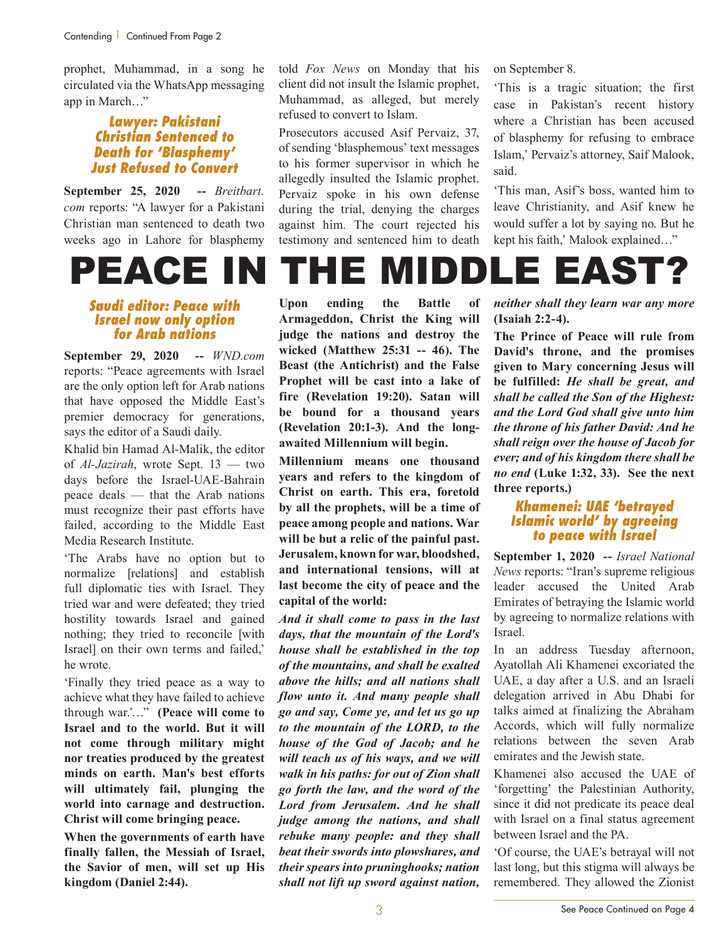prophet, Muhammad, in a song he circulated via the WhatsApp messaging app in March…"

#### *Lawyer: Pakistani Christian Sentenced to Death for 'Blasphemy' Just Refused to Convert*

**September 25, 2020 --** *Breitbart. com* reports: "A lawyer for a Pakistani Christian man sentenced to death two weeks ago in Lahore for blasphemy

#### *Saudi editor: Peace with Israel now only option for Arab nations*

**September 29, 2020 --** *WND.com* reports: "Peace agreements with Israel are the only option left for Arab nations that have opposed the Middle East's premier democracy for generations, says the editor of a Saudi daily.

Khalid bin Hamad Al-Malik, the editor of *Al-Jazirah*, wrote Sept. 13 — two days before the Israel-UAE-Bahrain peace deals — that the Arab nations must recognize their past efforts have failed, according to the Middle East Media Research Institute.

'The Arabs have no option but to normalize [relations] and establish full diplomatic ties with Israel. They tried war and were defeated; they tried hostility towards Israel and gained nothing; they tried to reconcile [with Israel] on their own terms and failed,' he wrote.

'Finally they tried peace as a way to achieve what they have failed to achieve through war.'…" **(Peace will come to Israel and to the world. But it will not come through military might nor treaties produced by the greatest minds on earth. Man's best efforts will ultimately fail, plunging the world into carnage and destruction. Christ will come bringing peace.**

**When the governments of earth have finally fallen, the Messiah of Israel, the Savior of men, will set up His kingdom (Daniel 2:44).**

told *Fox News* on Monday that his client did not insult the Islamic prophet, Muhammad, as alleged, but merely refused to convert to Islam.

Prosecutors accused Asif Pervaiz, 37, of sending 'blasphemous' text messages to his former supervisor in which he allegedly insulted the Islamic prophet. Pervaiz spoke in his own defense during the trial, denying the charges against him. The court rejected his testimony and sentenced him to death

on September 8.

'This is a tragic situation; the first case in Pakistan's recent history where a Christian has been accused of blasphemy for refusing to embrace Islam,' Pervaiz's attorney, Saif Malook, said.

'This man, Asif's boss, wanted him to leave Christianity, and Asif knew he would suffer a lot by saying no. But he kept his faith,' Malook explained…"



**Upon ending the Battle of Armageddon, Christ the King will judge the nations and destroy the wicked (Matthew 25:31 -- 46). The Beast (the Antichrist) and the False Prophet will be cast into a lake of fire (Revelation 19:20). Satan will be bound for a thousand years (Revelation 20:1-3). And the longawaited Millennium will begin.**

**Millennium means one thousand years and refers to the kingdom of Christ on earth. This era, foretold by all the prophets, will be a time of peace among people and nations. War will be but a relic of the painful past. Jerusalem, known for war, bloodshed, and international tensions, will at last become the city of peace and the capital of the world:**

*And it shall come to pass in the last days, that the mountain of the Lord's house shall be established in the top of the mountains, and shall be exalted above the hills; and all nations shall flow unto it. And many people shall go and say, Come ye, and let us go up to the mountain of the LORD, to the house of the God of Jacob; and he will teach us of his ways, and we will walk in his paths: for out of Zion shall go forth the law, and the word of the Lord from Jerusalem. And he shall judge among the nations, and shall rebuke many people: and they shall beat their swords into plowshares, and their spears into pruninghooks; nation shall not lift up sword against nation,* 

*neither shall they learn war any more* **(Isaiah 2:2-4).**

**The Prince of Peace will rule from David's throne, and the promises given to Mary concerning Jesus will be fulfilled:** *He shall be great, and shall be called the Son of the Highest: and the Lord God shall give unto him the throne of his father David: And he shall reign over the house of Jacob for ever; and of his kingdom there shall be no end* **(Luke 1:32, 33). See the next three reports.)**

#### *Khamenei: UAE 'betrayed Islamic world' by agreeing to peace with Israel*

**September 1, 2020 --** *Israel National News* reports: "Iran's supreme religious leader accused the United Arab Emirates of betraying the Islamic world by agreeing to normalize relations with Israel.

In an address Tuesday afternoon, Ayatollah Ali Khamenei excoriated the UAE, a day after a U.S. and an Israeli delegation arrived in Abu Dhabi for talks aimed at finalizing the Abraham Accords, which will fully normalize relations between the seven Arab emirates and the Jewish state.

Khamenei also accused the UAE of 'forgetting' the Palestinian Authority, since it did not predicate its peace deal with Israel on a final status agreement between Israel and the PA.

'Of course, the UAE's betrayal will not last long, but this stigma will always be remembered. They allowed the Zionist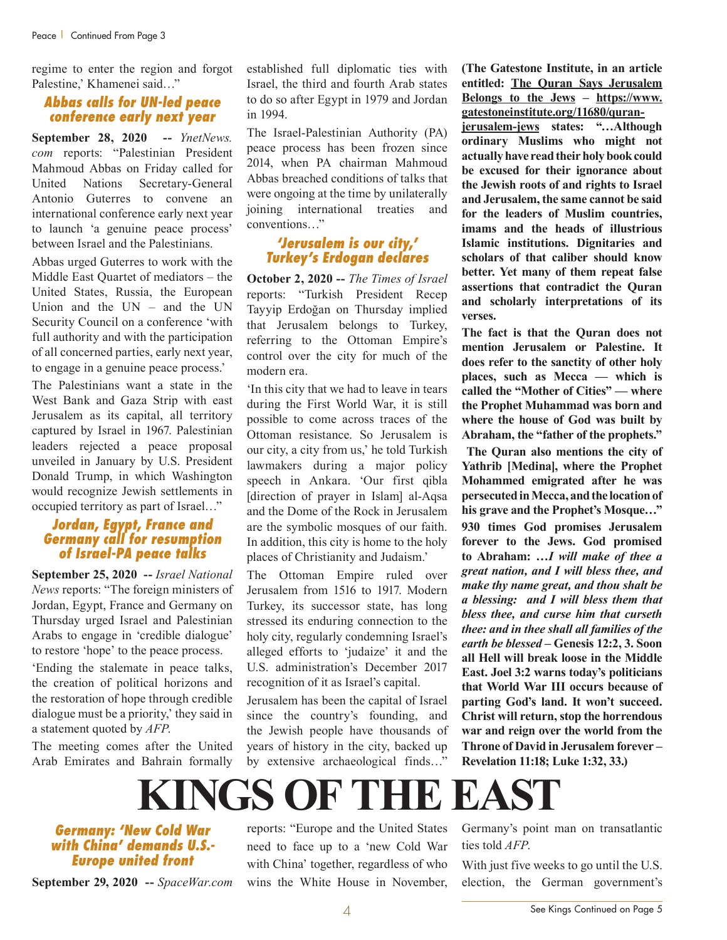regime to enter the region and forgot Palestine,' Khamenei said…"

#### *Abbas calls for UN-led peace conference early next year*

**September 28, 2020 --** *YnetNews. com* reports: "Palestinian President Mahmoud Abbas on Friday called for United Nations Secretary-General Antonio Guterres to convene an international conference early next year to launch 'a genuine peace process' between Israel and the Palestinians.

Abbas urged Guterres to work with the Middle East Quartet of mediators – the United States, Russia, the European Union and the UN – and the UN Security Council on a conference 'with full authority and with the participation of all concerned parties, early next year, to engage in a genuine peace process.'

The Palestinians want a state in the West Bank and Gaza Strip with east Jerusalem as its capital, all territory captured by Israel in 1967. Palestinian leaders rejected a peace proposal unveiled in January by U.S. President Donald Trump, in which Washington would recognize Jewish settlements in occupied territory as part of Israel…"

#### *Jordan, Egypt, France and Germany call for resumption of Israel-PA peace talks*

**September 25, 2020 --** *Israel National News* reports: "The foreign ministers of Jordan, Egypt, France and Germany on Thursday urged Israel and Palestinian Arabs to engage in 'credible dialogue' to restore 'hope' to the peace process.

'Ending the stalemate in peace talks, the creation of political horizons and the restoration of hope through credible dialogue must be a priority,' they said in a statement quoted by *AFP*.

The meeting comes after the United Arab Emirates and Bahrain formally established full diplomatic ties with Israel, the third and fourth Arab states to do so after Egypt in 1979 and Jordan in 1994.

The Israel-Palestinian Authority (PA) peace process has been frozen since 2014, when PA chairman Mahmoud Abbas breached conditions of talks that were ongoing at the time by unilaterally joining international treaties and conventions…"

#### *'Jerusalem is our city,' Turkey's Erdogan declares*

**October 2, 2020 --** *The Times of Israel* reports: "Turkish President Recep Tayyip Erdoğan on Thursday implied that Jerusalem belongs to Turkey, referring to the Ottoman Empire's control over the city for much of the modern era.

'In this city that we had to leave in tears during the First World War, it is still possible to come across traces of the Ottoman resistance. So Jerusalem is our city, a city from us,' he told Turkish lawmakers during a major policy speech in Ankara. 'Our first qibla [direction of prayer in Islam] al-Aqsa and the Dome of the Rock in Jerusalem are the symbolic mosques of our faith. In addition, this city is home to the holy places of Christianity and Judaism.'

The Ottoman Empire ruled over Jerusalem from 1516 to 1917. Modern Turkey, its successor state, has long stressed its enduring connection to the holy city, regularly condemning Israel's alleged efforts to 'judaize' it and the U.S. administration's December 2017 recognition of it as Israel's capital.

Jerusalem has been the capital of Israel since the country's founding, and the Jewish people have thousands of years of history in the city, backed up by extensive archaeological finds…"

**(The Gatestone Institute, in an article entitled: The Quran Says Jerusalem Belongs to the Jews – https://www. gatestoneinstitute.org/11680/quran-**

**jerusalem-jews states: "…Although ordinary Muslims who might not actually have read their holy book could be excused for their ignorance about the Jewish roots of and rights to Israel and Jerusalem, the same cannot be said for the leaders of Muslim countries, imams and the heads of illustrious Islamic institutions. Dignitaries and scholars of that caliber should know better. Yet many of them repeat false assertions that contradict the Quran and scholarly interpretations of its verses.**

**The fact is that the Quran does not mention Jerusalem or Palestine. It does refer to the sanctity of other holy places, such as Mecca — which is called the "Mother of Cities" — where the Prophet Muhammad was born and where the house of God was built by Abraham, the "father of the prophets."**

**The Quran also mentions the city of Yathrib [Medina], where the Prophet Mohammed emigrated after he was persecuted in Mecca, and the location of his grave and the Prophet's Mosque…" 930 times God promises Jerusalem forever to the Jews. God promised to Abraham: …***I will make of thee a great nation, and I will bless thee, and make thy name great, and thou shalt be a blessing: and I will bless them that bless thee, and curse him that curseth thee: and in thee shall all families of the earth be blessed* **– Genesis 12:2, 3. Soon all Hell will break loose in the Middle East. Joel 3:2 warns today's politicians that World War III occurs because of parting God's land. It won't succeed. Christ will return, stop the horrendous war and reign over the world from the Throne of David in Jerusalem forever – Revelation 11:18; Luke 1:32, 33.)**

### **KINGS OF THE EAST**

*Germany: 'New Cold War with China' demands U.S.- Europe united front*

**September 29, 2020 --** *SpaceWar.com*

reports: "Europe and the United States need to face up to a 'new Cold War with China' together, regardless of who wins the White House in November,

Germany's point man on transatlantic ties told *AFP*.

With just five weeks to go until the U.S. election, the German government's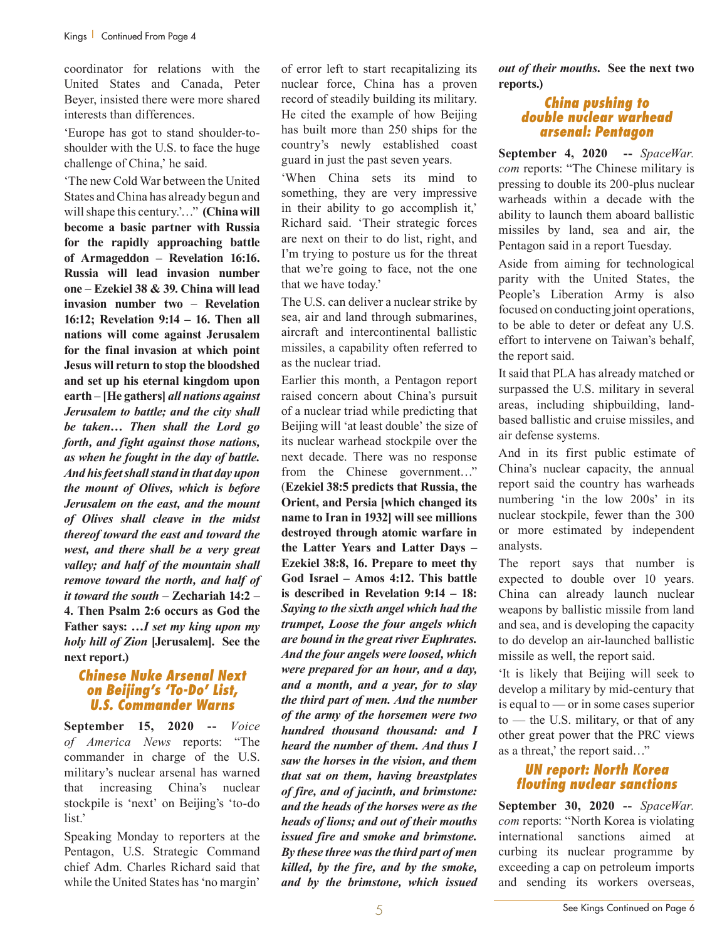coordinator for relations with the United States and Canada, Peter Beyer, insisted there were more shared interests than differences.

'Europe has got to stand shoulder-toshoulder with the U.S. to face the huge challenge of China,' he said.

'The new Cold War between the United States and China has already begun and will shape this century.'…" **(China will become a basic partner with Russia for the rapidly approaching battle of Armageddon – Revelation 16:16. Russia will lead invasion number one – Ezekiel 38 & 39. China will lead invasion number two – Revelation 16:12; Revelation 9:14 – 16. Then all nations will come against Jerusalem for the final invasion at which point Jesus will return to stop the bloodshed and set up his eternal kingdom upon earth – [He gathers]** *all nations against Jerusalem to battle; and the city shall be taken… Then shall the Lord go forth, and fight against those nations, as when he fought in the day of battle. And his feet shall stand in that day upon the mount of Olives, which is before Jerusalem on the east, and the mount of Olives shall cleave in the midst thereof toward the east and toward the west, and there shall be a very great valley; and half of the mountain shall remove toward the north, and half of it toward the south* **– Zechariah 14:2 – 4. Then Psalm 2:6 occurs as God the Father says: …***I set my king upon my holy hill of Zion* **[Jerusalem]. See the next report.)**

#### *Chinese Nuke Arsenal Next on Beijing's 'To-Do' List, U.S. Commander Warns*

**September 15, 2020 --** *Voice of America News* reports: "The commander in charge of the U.S. military's nuclear arsenal has warned that increasing China's nuclear stockpile is 'next' on Beijing's 'to-do list.'

Speaking Monday to reporters at the Pentagon, U.S. Strategic Command chief Adm. Charles Richard said that while the United States has 'no margin'

of error left to start recapitalizing its nuclear force, China has a proven record of steadily building its military. He cited the example of how Beijing has built more than 250 ships for the country's newly established coast guard in just the past seven years.

'When China sets its mind to something, they are very impressive in their ability to go accomplish it,' Richard said. 'Their strategic forces are next on their to do list, right, and I'm trying to posture us for the threat that we're going to face, not the one that we have today.'

The U.S. can deliver a nuclear strike by sea, air and land through submarines, aircraft and intercontinental ballistic missiles, a capability often referred to as the nuclear triad.

Earlier this month, a Pentagon report raised concern about China's pursuit of a nuclear triad while predicting that Beijing will 'at least double' the size of its nuclear warhead stockpile over the next decade. There was no response from the Chinese government…" (**Ezekiel 38:5 predicts that Russia, the Orient, and Persia [which changed its name to Iran in 1932] will see millions destroyed through atomic warfare in the Latter Years and Latter Days – Ezekiel 38:8, 16. Prepare to meet thy God Israel – Amos 4:12. This battle is described in Revelation 9:14 – 18:**  *Saying to the sixth angel which had the trumpet, Loose the four angels which are bound in the great river Euphrates. And the four angels were loosed, which were prepared for an hour, and a day, and a month, and a year, for to slay the third part of men. And the number of the army of the horsemen were two hundred thousand thousand: and I heard the number of them. And thus I saw the horses in the vision, and them that sat on them, having breastplates of fire, and of jacinth, and brimstone: and the heads of the horses were as the heads of lions; and out of their mouths issued fire and smoke and brimstone. By these three was the third part of men killed, by the fire, and by the smoke, and by the brimstone, which issued*  *out of their mouths***. See the next two reports.)**

#### *China pushing to double nuclear warhead arsenal: Pentagon*

**September 4, 2020 --** *SpaceWar. com* reports: "The Chinese military is pressing to double its 200-plus nuclear warheads within a decade with the ability to launch them aboard ballistic missiles by land, sea and air, the Pentagon said in a report Tuesday.

Aside from aiming for technological parity with the United States, the People's Liberation Army is also focused on conducting joint operations, to be able to deter or defeat any U.S. effort to intervene on Taiwan's behalf, the report said.

It said that PLA has already matched or surpassed the U.S. military in several areas, including shipbuilding, landbased ballistic and cruise missiles, and air defense systems.

And in its first public estimate of China's nuclear capacity, the annual report said the country has warheads numbering 'in the low 200s' in its nuclear stockpile, fewer than the 300 or more estimated by independent analysts.

The report says that number is expected to double over 10 years. China can already launch nuclear weapons by ballistic missile from land and sea, and is developing the capacity to do develop an air-launched ballistic missile as well, the report said.

'It is likely that Beijing will seek to develop a military by mid-century that is equal to — or in some cases superior to — the U.S. military, or that of any other great power that the PRC views as a threat,' the report said…"

#### *UN report: North Korea flouting nuclear sanctions*

**September 30, 2020 --** *SpaceWar. com* reports: "North Korea is violating international sanctions aimed at curbing its nuclear programme by exceeding a cap on petroleum imports and sending its workers overseas,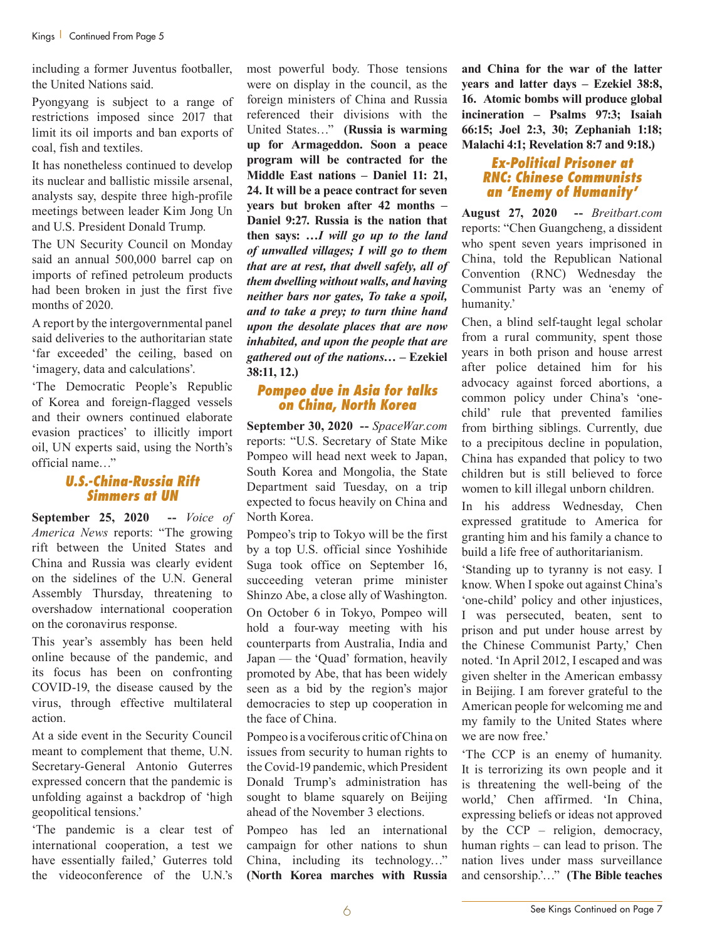including a former Juventus footballer, the United Nations said.

Pyongyang is subject to a range of restrictions imposed since 2017 that limit its oil imports and ban exports of coal, fish and textiles.

It has nonetheless continued to develop its nuclear and ballistic missile arsenal, analysts say, despite three high-profile meetings between leader Kim Jong Un and U.S. President Donald Trump.

The UN Security Council on Monday said an annual 500,000 barrel cap on imports of refined petroleum products had been broken in just the first five months of 2020.

A report by the intergovernmental panel said deliveries to the authoritarian state 'far exceeded' the ceiling, based on 'imagery, data and calculations'.

'The Democratic People's Republic of Korea and foreign-flagged vessels and their owners continued elaborate evasion practices' to illicitly import oil, UN experts said, using the North's official name…"

#### *U.S.-China-Russia Rift Simmers at UN*

**September 25, 2020 --** *Voice of America News* reports: "The growing rift between the United States and China and Russia was clearly evident on the sidelines of the U.N. General Assembly Thursday, threatening to overshadow international cooperation on the coronavirus response.

This year's assembly has been held online because of the pandemic, and its focus has been on confronting COVID-19, the disease caused by the virus, through effective multilateral action.

At a side event in the Security Council meant to complement that theme, U.N. Secretary-General Antonio Guterres expressed concern that the pandemic is unfolding against a backdrop of 'high geopolitical tensions.'

'The pandemic is a clear test of international cooperation, a test we have essentially failed,' Guterres told the videoconference of the U.N.'s

most powerful body. Those tensions were on display in the council, as the foreign ministers of China and Russia referenced their divisions with the United States…" **(Russia is warming up for Armageddon. Soon a peace program will be contracted for the Middle East nations – Daniel 11: 21, 24. It will be a peace contract for seven years but broken after 42 months – Daniel 9:27. Russia is the nation that then says: …***I will go up to the land of unwalled villages; I will go to them that are at rest, that dwell safely, all of them dwelling without walls, and having neither bars nor gates, To take a spoil, and to take a prey; to turn thine hand upon the desolate places that are now inhabited, and upon the people that are gathered out of the nations***… – Ezekiel 38:11, 12.)**

#### *Pompeo due in Asia for talks on China, North Korea*

**September 30, 2020 --** *SpaceWar.com* reports: "U.S. Secretary of State Mike Pompeo will head next week to Japan, South Korea and Mongolia, the State Department said Tuesday, on a trip expected to focus heavily on China and North Korea.

Pompeo's trip to Tokyo will be the first by a top U.S. official since Yoshihide Suga took office on September 16, succeeding veteran prime minister Shinzo Abe, a close ally of Washington. On October 6 in Tokyo, Pompeo will hold a four-way meeting with his counterparts from Australia, India and Japan — the 'Quad' formation, heavily promoted by Abe, that has been widely seen as a bid by the region's major democracies to step up cooperation in the face of China.

Pompeo is a vociferous critic of China on issues from security to human rights to the Covid-19 pandemic, which President Donald Trump's administration has sought to blame squarely on Beijing ahead of the November 3 elections.

Pompeo has led an international campaign for other nations to shun China, including its technology…" **(North Korea marches with Russia** 

**and China for the war of the latter years and latter days – Ezekiel 38:8, 16. Atomic bombs will produce global incineration – Psalms 97:3; Isaiah 66:15; Joel 2:3, 30; Zephaniah 1:18; Malachi 4:1; Revelation 8:7 and 9:18.)**

#### *Ex-Political Prisoner at RNC: Chinese Communists an 'Enemy of Humanity'*

**August 27, 2020 --** *Breitbart.com* reports: "Chen Guangcheng, a dissident who spent seven years imprisoned in China, told the Republican National Convention (RNC) Wednesday the Communist Party was an 'enemy of humanity.'

Chen, a blind self-taught legal scholar from a rural community, spent those years in both prison and house arrest after police detained him for his advocacy against forced abortions, a common policy under China's 'onechild' rule that prevented families from birthing siblings. Currently, due to a precipitous decline in population, China has expanded that policy to two children but is still believed to force women to kill illegal unborn children.

In his address Wednesday, Chen expressed gratitude to America for granting him and his family a chance to build a life free of authoritarianism.

'Standing up to tyranny is not easy. I know. When I spoke out against China's 'one-child' policy and other injustices, I was persecuted, beaten, sent to prison and put under house arrest by the Chinese Communist Party,' Chen noted. 'In April 2012, I escaped and was given shelter in the American embassy in Beijing. I am forever grateful to the American people for welcoming me and my family to the United States where we are now free.'

'The CCP is an enemy of humanity. It is terrorizing its own people and it is threatening the well-being of the world,' Chen affirmed. 'In China, expressing beliefs or ideas not approved by the CCP – religion, democracy, human rights – can lead to prison. The nation lives under mass surveillance and censorship.'…" **(The Bible teaches**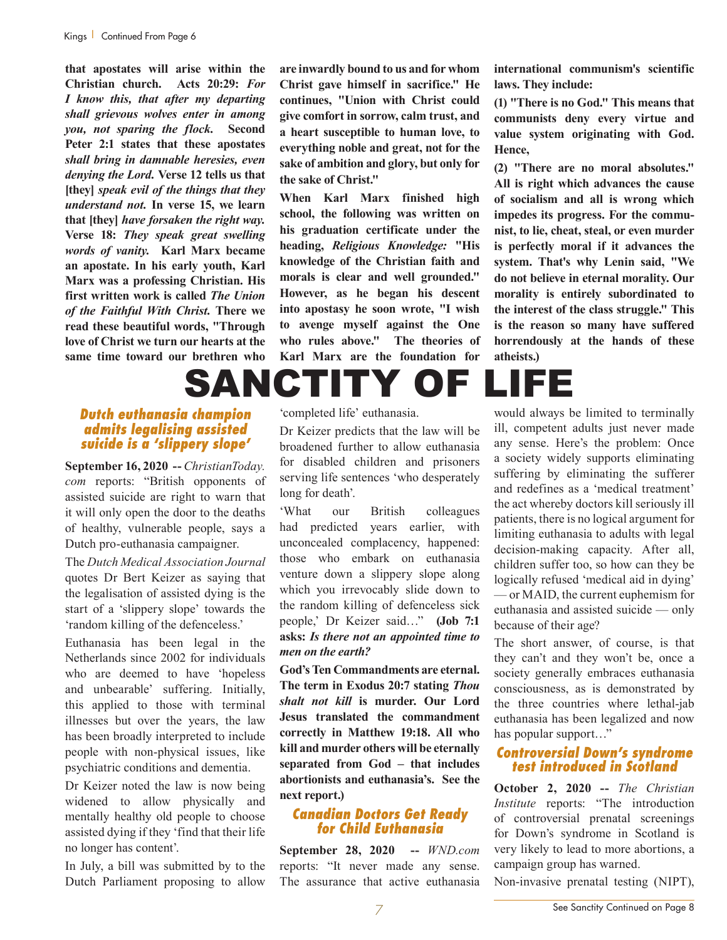**that apostates will arise within the Christian church. Acts 20:29:** *For I know this, that after my departing shall grievous wolves enter in among you, not sparing the flock.* **Second Peter 2:1 states that these apostates**  *shall bring in damnable heresies, even denying the Lord.* **Verse 12 tells us that [they]** *speak evil of the things that they understand not.* **In verse 15, we learn that [they]** *have forsaken the right way.* **Verse 18:** *They speak great swelling words of vanity.* **Karl Marx became an apostate. In his early youth, Karl Marx was a professing Christian. His first written work is called** *The Union of the Faithful With Christ.* **There we read these beautiful words, "Through love of Christ we turn our hearts at the same time toward our brethren who** 

**are inwardly bound to us and for whom Christ gave himself in sacrifice." He continues, "Union with Christ could give comfort in sorrow, calm trust, and a heart susceptible to human love, to everything noble and great, not for the sake of ambition and glory, but only for the sake of Christ."**

**When Karl Marx finished high school, the following was written on his graduation certificate under the heading,** *Religious Knowledge:* **"His knowledge of the Christian faith and morals is clear and well grounded." However, as he began his descent into apostasy he soon wrote, "I wish to avenge myself against the One who rules above." The theories of Karl Marx are the foundation for** 

**international communism's scientific laws. They include:** 

**(1) "There is no God." This means that communists deny every virtue and value system originating with God. Hence,**

**(2) "There are no moral absolutes." All is right which advances the cause of socialism and all is wrong which impedes its progress. For the communist, to lie, cheat, steal, or even murder is perfectly moral if it advances the system. That's why Lenin said, "We do not believe in eternal morality. Our morality is entirely subordinated to the interest of the class struggle." This is the reason so many have suffered horrendously at the hands of these atheists.)**

# SANCTITY OF LIFE

#### *Dutch euthanasia champion admits legalising assisted suicide is a 'slippery slope'*

**September 16, 2020 --** *ChristianToday. com* reports: "British opponents of assisted suicide are right to warn that it will only open the door to the deaths of healthy, vulnerable people, says a Dutch pro-euthanasia campaigner.

The *Dutch Medical Association Journal*  quotes Dr Bert Keizer as saying that the legalisation of assisted dying is the start of a 'slippery slope' towards the 'random killing of the defenceless.'

Euthanasia has been legal in the Netherlands since 2002 for individuals who are deemed to have 'hopeless and unbearable' suffering. Initially, this applied to those with terminal illnesses but over the years, the law has been broadly interpreted to include people with non-physical issues, like psychiatric conditions and dementia.

Dr Keizer noted the law is now being widened to allow physically and mentally healthy old people to choose assisted dying if they 'find that their life no longer has content'.

In July, a bill was submitted by to the Dutch Parliament proposing to allow 'completed life' euthanasia.

Dr Keizer predicts that the law will be broadened further to allow euthanasia for disabled children and prisoners serving life sentences 'who desperately long for death'.

'What our British colleagues had predicted years earlier, with unconcealed complacency, happened: those who embark on euthanasia venture down a slippery slope along which you irrevocably slide down to the random killing of defenceless sick people,' Dr Keizer said…" **(Job 7:1 asks:** *Is there not an appointed time to men on the earth?*

**God's Ten Commandments are eternal. The term in Exodus 20:7 stating** *Thou shalt not kill* **is murder. Our Lord Jesus translated the commandment correctly in Matthew 19:18. All who kill and murder others will be eternally separated from God – that includes abortionists and euthanasia's. See the next report.)**

### *Canadian Doctors Get Ready for Child Euthanasia*

**September 28, 2020 --** *WND.com* reports: "It never made any sense. The assurance that active euthanasia

would always be limited to terminally ill, competent adults just never made any sense. Here's the problem: Once a society widely supports eliminating suffering by eliminating the sufferer and redefines as a 'medical treatment' the act whereby doctors kill seriously ill patients, there is no logical argument for limiting euthanasia to adults with legal decision-making capacity. After all, children suffer too, so how can they be logically refused 'medical aid in dying' — or MAID, the current euphemism for euthanasia and assisted suicide — only because of their age?

The short answer, of course, is that they can't and they won't be, once a society generally embraces euthanasia consciousness, as is demonstrated by the three countries where lethal-jab euthanasia has been legalized and now has popular support..."

#### *Controversial Down's syndrome test introduced in Scotland*

**October 2, 2020 --** *The Christian Institute* reports: "The introduction of controversial prenatal screenings for Down's syndrome in Scotland is very likely to lead to more abortions, a campaign group has warned.

Non-invasive prenatal testing (NIPT),